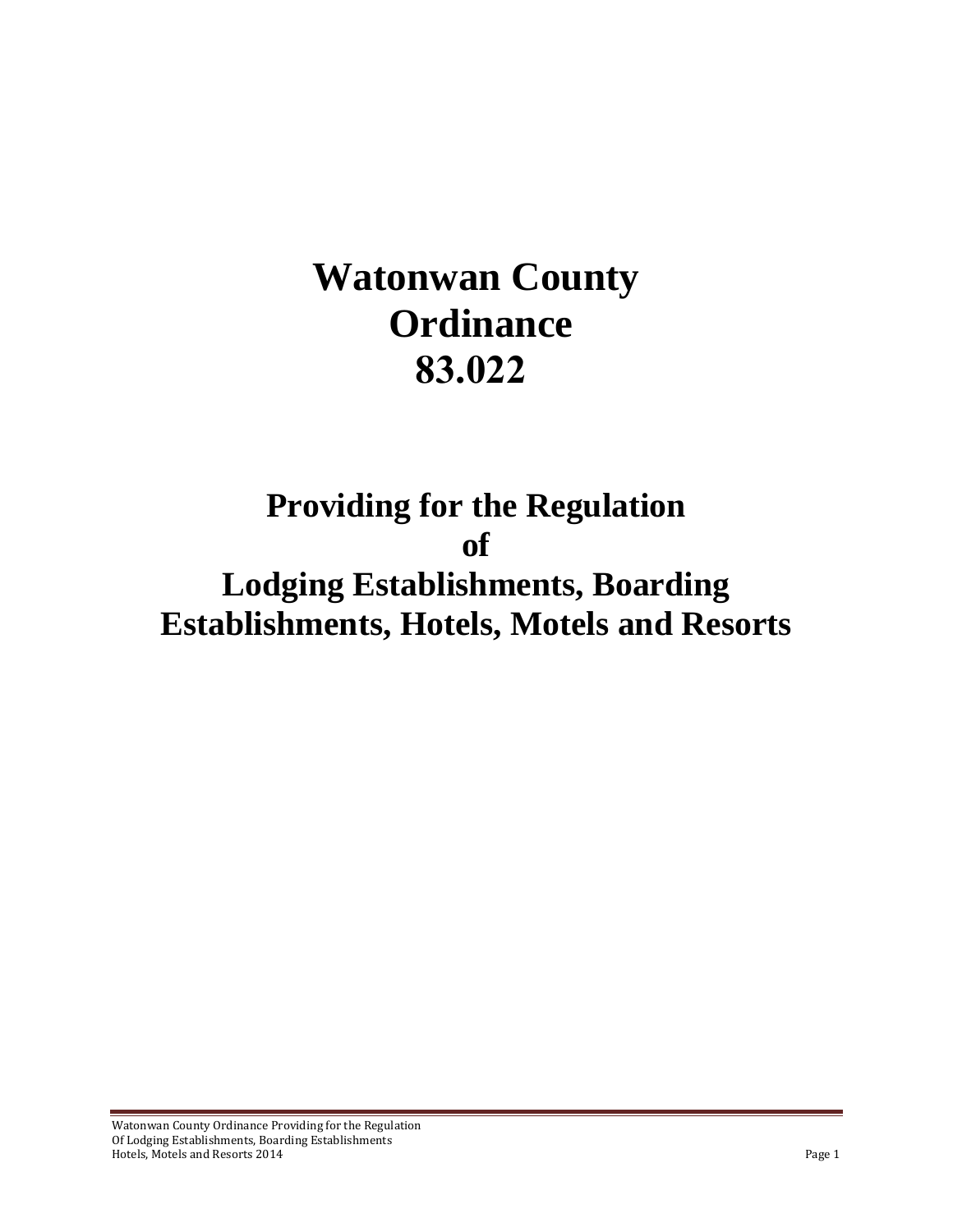# **Watonwan County Ordinance 83.022**

# **Providing for the Regulation of Lodging Establishments, Boarding Establishments, Hotels, Motels and Resorts**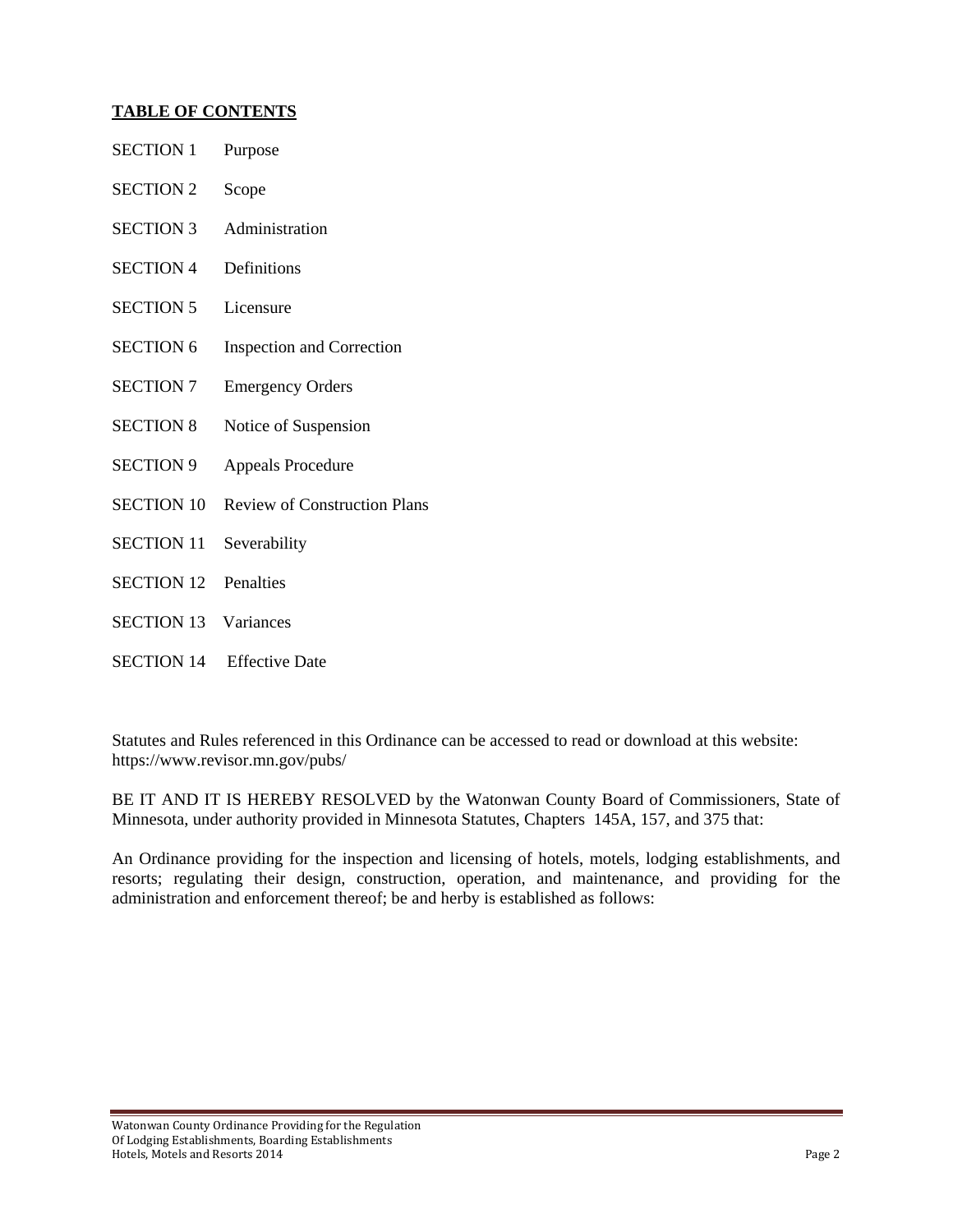#### **TABLE OF CONTENTS**

| <b>SECTION 1</b>            | Purpose                             |
|-----------------------------|-------------------------------------|
| <b>SECTION 2</b>            | Scope                               |
| <b>SECTION 3</b>            | Administration                      |
| <b>SECTION 4</b>            | Definitions                         |
| <b>SECTION 5</b>            | Licensure                           |
| <b>SECTION 6</b>            | <b>Inspection and Correction</b>    |
| <b>SECTION 7</b>            | <b>Emergency Orders</b>             |
| <b>SECTION 8</b>            | Notice of Suspension                |
| <b>SECTION 9</b>            | <b>Appeals Procedure</b>            |
| <b>SECTION 10</b>           | <b>Review of Construction Plans</b> |
| <b>SECTION 11</b>           | Severability                        |
| <b>SECTION 12</b>           | Penalties                           |
| <b>SECTION 13 Variances</b> |                                     |
|                             | <b>SECTION 14</b> Effective Date    |

Statutes and Rules referenced in this Ordinance can be accessed to read or download at this website: https://www.revisor.mn.gov/pubs/

BE IT AND IT IS HEREBY RESOLVED by the Watonwan County Board of Commissioners, State of Minnesota, under authority provided in Minnesota Statutes, Chapters 145A, 157, and 375 that:

An Ordinance providing for the inspection and licensing of hotels, motels, lodging establishments, and resorts; regulating their design, construction, operation, and maintenance, and providing for the administration and enforcement thereof; be and herby is established as follows: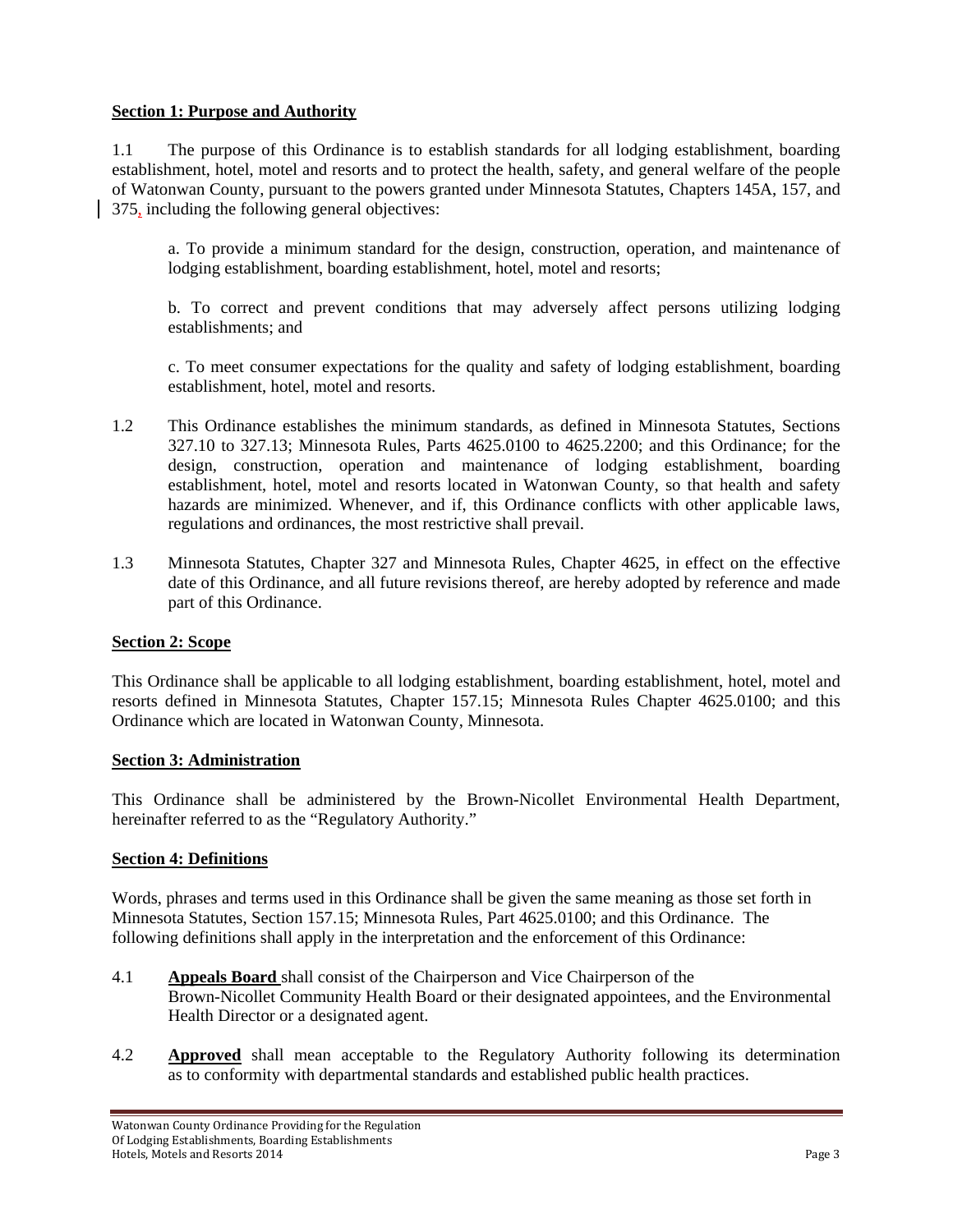#### **Section 1: Purpose and Authority**

1.1 The purpose of this Ordinance is to establish standards for all lodging establishment, boarding establishment, hotel, motel and resorts and to protect the health, safety, and general welfare of the people of Watonwan County, pursuant to the powers granted under Minnesota Statutes, Chapters 145A, 157, and 375, including the following general objectives:

 a. To provide a minimum standard for the design, construction, operation, and maintenance of lodging establishment, boarding establishment, hotel, motel and resorts;

 b. To correct and prevent conditions that may adversely affect persons utilizing lodging establishments; and

c. To meet consumer expectations for the quality and safety of lodging establishment, boarding establishment, hotel, motel and resorts.

- 1.2 This Ordinance establishes the minimum standards, as defined in Minnesota Statutes, Sections 327.10 to 327.13; Minnesota Rules, Parts 4625.0100 to 4625.2200; and this Ordinance; for the design, construction, operation and maintenance of lodging establishment, boarding establishment, hotel, motel and resorts located in Watonwan County, so that health and safety hazards are minimized. Whenever, and if, this Ordinance conflicts with other applicable laws, regulations and ordinances, the most restrictive shall prevail.
- 1.3 Minnesota Statutes, Chapter 327 and Minnesota Rules, Chapter 4625, in effect on the effective date of this Ordinance, and all future revisions thereof, are hereby adopted by reference and made part of this Ordinance.

#### **Section 2: Scope**

This Ordinance shall be applicable to all lodging establishment, boarding establishment, hotel, motel and resorts defined in Minnesota Statutes, Chapter 157.15; Minnesota Rules Chapter 4625.0100; and this Ordinance which are located in Watonwan County, Minnesota.

#### **Section 3: Administration**

This Ordinance shall be administered by the Brown-Nicollet Environmental Health Department, hereinafter referred to as the "Regulatory Authority."

#### **Section 4: Definitions**

Words, phrases and terms used in this Ordinance shall be given the same meaning as those set forth in Minnesota Statutes, Section 157.15; Minnesota Rules, Part 4625.0100; and this Ordinance. The following definitions shall apply in the interpretation and the enforcement of this Ordinance:

- 4.1 **Appeals Board** shall consist of the Chairperson and Vice Chairperson of the Brown-Nicollet Community Health Board or their designated appointees, and the Environmental Health Director or a designated agent.
- 4.2 **Approved** shall mean acceptable to the Regulatory Authority following its determination as to conformity with departmental standards and established public health practices.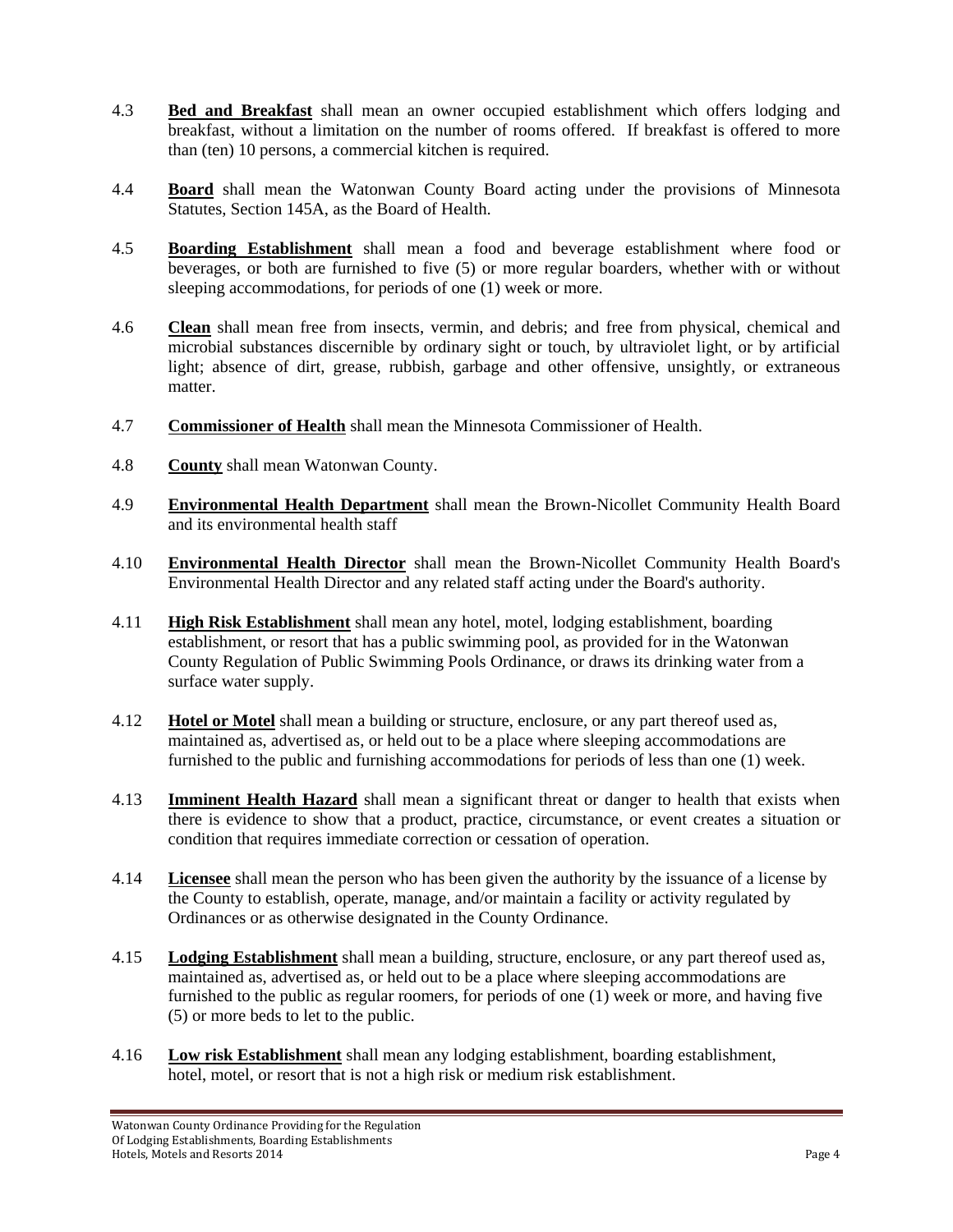- 4.3 **Bed and Breakfast** shall mean an owner occupied establishment which offers lodging and breakfast, without a limitation on the number of rooms offered. If breakfast is offered to more than (ten) 10 persons, a commercial kitchen is required.
- 4.4 **Board** shall mean the Watonwan County Board acting under the provisions of Minnesota Statutes, Section 145A, as the Board of Health.
- 4.5 **Boarding Establishment** shall mean a food and beverage establishment where food or beverages, or both are furnished to five (5) or more regular boarders, whether with or without sleeping accommodations, for periods of one (1) week or more.
- 4.6 **Clean** shall mean free from insects, vermin, and debris; and free from physical, chemical and microbial substances discernible by ordinary sight or touch, by ultraviolet light, or by artificial light; absence of dirt, grease, rubbish, garbage and other offensive, unsightly, or extraneous matter.
- 4.7 **Commissioner of Health** shall mean the Minnesota Commissioner of Health.
- 4.8 **County** shall mean Watonwan County.
- 4.9 **Environmental Health Department** shall mean the Brown-Nicollet Community Health Board and its environmental health staff
- 4.10 **Environmental Health Director** shall mean the Brown-Nicollet Community Health Board's Environmental Health Director and any related staff acting under the Board's authority.
- 4.11 **High Risk Establishment** shall mean any hotel, motel, lodging establishment, boarding establishment, or resort that has a public swimming pool, as provided for in the Watonwan County Regulation of Public Swimming Pools Ordinance, or draws its drinking water from a surface water supply.
- 4.12 **Hotel or Motel** shall mean a building or structure, enclosure, or any part thereof used as, maintained as, advertised as, or held out to be a place where sleeping accommodations are furnished to the public and furnishing accommodations for periods of less than one (1) week.
- 4.13 **Imminent Health Hazard** shall mean a significant threat or danger to health that exists when there is evidence to show that a product, practice, circumstance, or event creates a situation or condition that requires immediate correction or cessation of operation.
- 4.14 **Licensee** shall mean the person who has been given the authority by the issuance of a license by the County to establish, operate, manage, and/or maintain a facility or activity regulated by Ordinances or as otherwise designated in the County Ordinance.
- 4.15 **Lodging Establishment** shall mean a building, structure, enclosure, or any part thereof used as, maintained as, advertised as, or held out to be a place where sleeping accommodations are furnished to the public as regular roomers, for periods of one (1) week or more, and having five (5) or more beds to let to the public.
- 4.16 **Low risk Establishment** shall mean any lodging establishment, boarding establishment, hotel, motel, or resort that is not a high risk or medium risk establishment.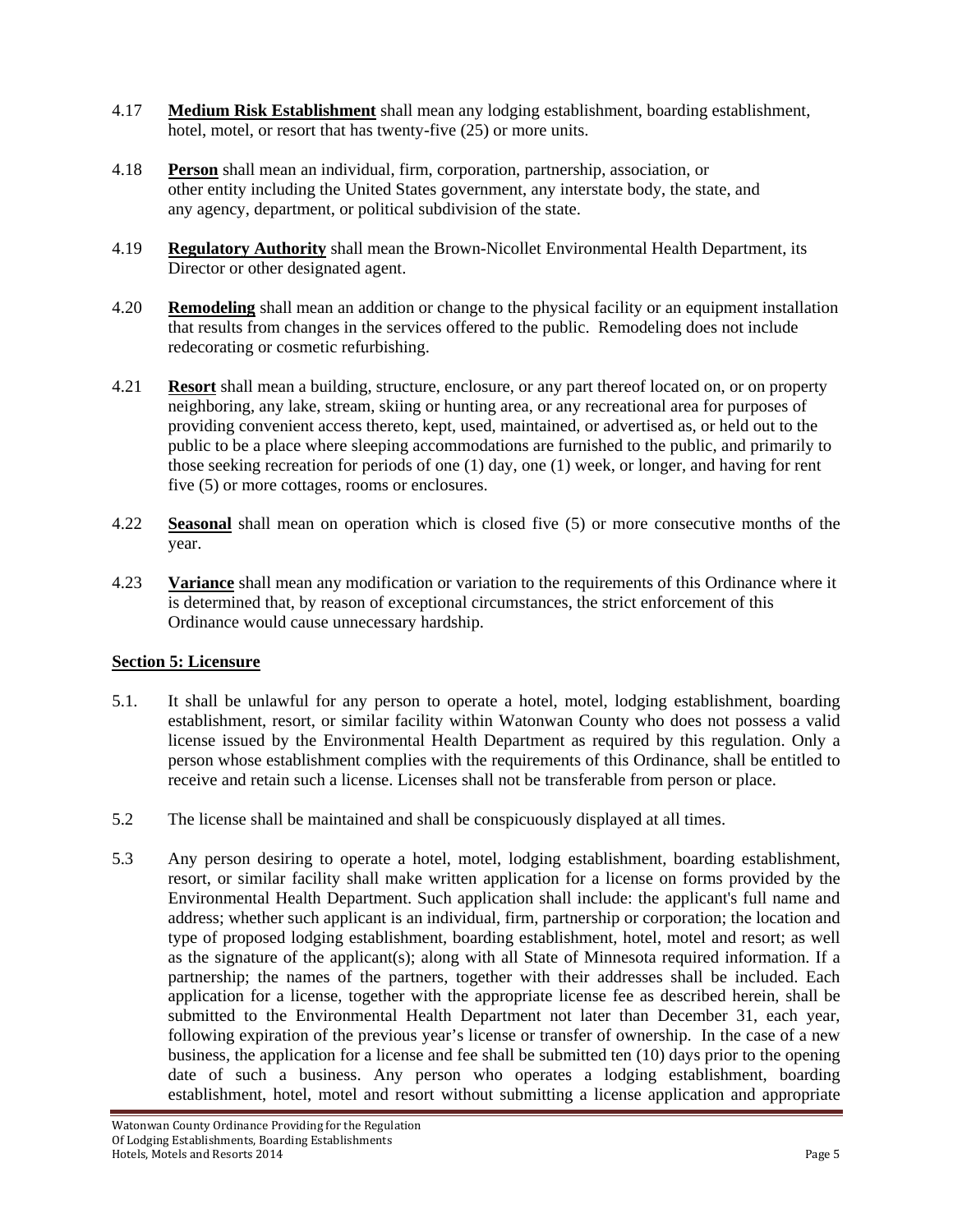- 4.17 **Medium Risk Establishment** shall mean any lodging establishment, boarding establishment, hotel, motel, or resort that has twenty-five (25) or more units.
- 4.18 **Person** shall mean an individual, firm, corporation, partnership, association, or other entity including the United States government, any interstate body, the state, and any agency, department, or political subdivision of the state.
- 4.19 **Regulatory Authority** shall mean the Brown-Nicollet Environmental Health Department, its Director or other designated agent.
- 4.20 **Remodeling** shall mean an addition or change to the physical facility or an equipment installation that results from changes in the services offered to the public. Remodeling does not include redecorating or cosmetic refurbishing.
- 4.21 **Resort** shall mean a building, structure, enclosure, or any part thereof located on, or on property neighboring, any lake, stream, skiing or hunting area, or any recreational area for purposes of providing convenient access thereto, kept, used, maintained, or advertised as, or held out to the public to be a place where sleeping accommodations are furnished to the public, and primarily to those seeking recreation for periods of one (1) day, one (1) week, or longer, and having for rent five (5) or more cottages, rooms or enclosures.
- 4.22 **Seasonal** shall mean on operation which is closed five (5) or more consecutive months of the year.
- 4.23 **Variance** shall mean any modification or variation to the requirements of this Ordinance where it is determined that, by reason of exceptional circumstances, the strict enforcement of this Ordinance would cause unnecessary hardship.

# **Section 5: Licensure**

- 5.1. It shall be unlawful for any person to operate a hotel, motel, lodging establishment, boarding establishment, resort, or similar facility within Watonwan County who does not possess a valid license issued by the Environmental Health Department as required by this regulation. Only a person whose establishment complies with the requirements of this Ordinance, shall be entitled to receive and retain such a license. Licenses shall not be transferable from person or place.
- 5.2 The license shall be maintained and shall be conspicuously displayed at all times.
- 5.3 Any person desiring to operate a hotel, motel, lodging establishment, boarding establishment, resort, or similar facility shall make written application for a license on forms provided by the Environmental Health Department. Such application shall include: the applicant's full name and address; whether such applicant is an individual, firm, partnership or corporation; the location and type of proposed lodging establishment, boarding establishment, hotel, motel and resort; as well as the signature of the applicant(s); along with all State of Minnesota required information. If a partnership; the names of the partners, together with their addresses shall be included. Each application for a license, together with the appropriate license fee as described herein, shall be submitted to the Environmental Health Department not later than December 31, each year, following expiration of the previous year's license or transfer of ownership. In the case of a new business, the application for a license and fee shall be submitted ten (10) days prior to the opening date of such a business. Any person who operates a lodging establishment, boarding establishment, hotel, motel and resort without submitting a license application and appropriate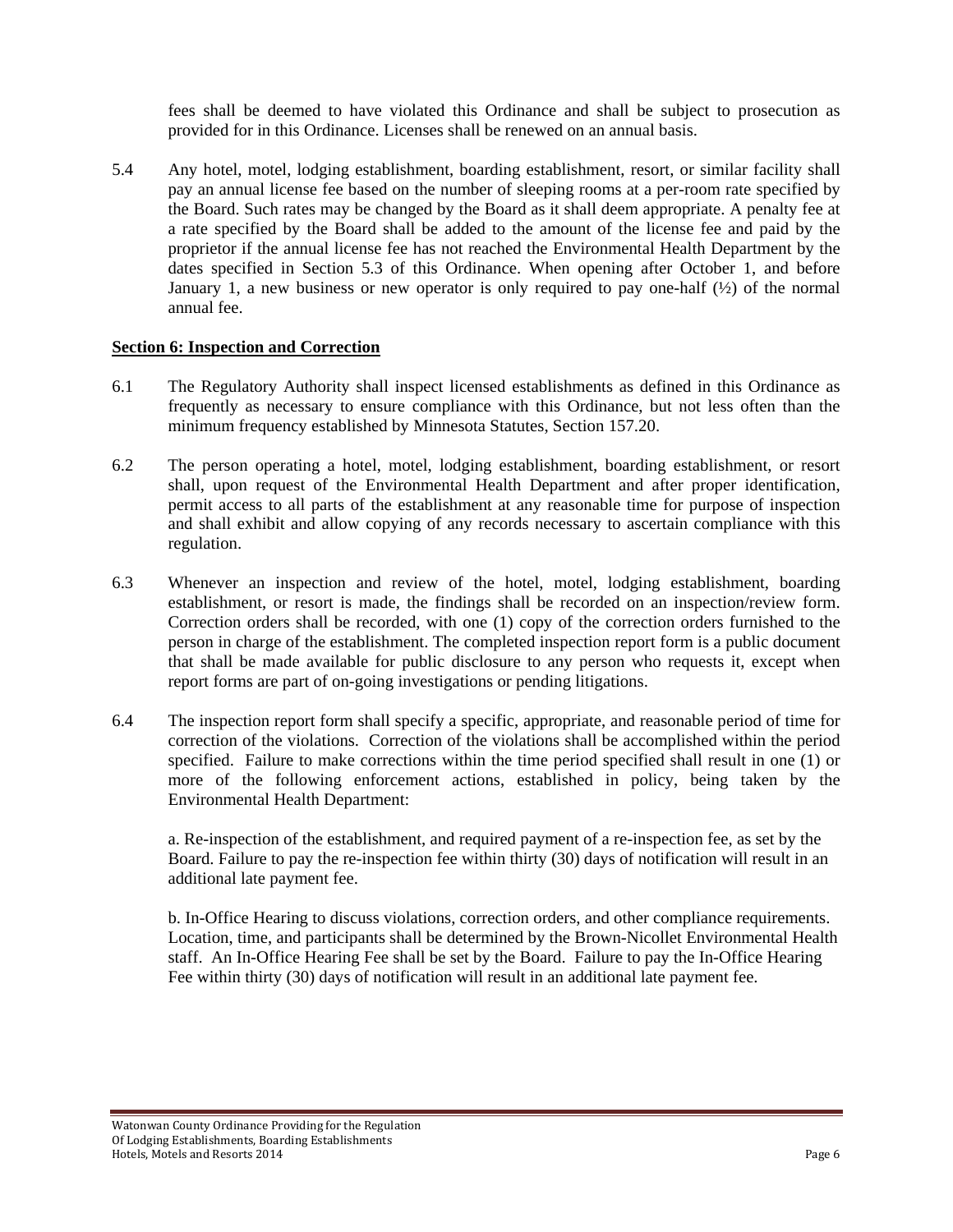fees shall be deemed to have violated this Ordinance and shall be subject to prosecution as provided for in this Ordinance. Licenses shall be renewed on an annual basis.

5.4 Any hotel, motel, lodging establishment, boarding establishment, resort, or similar facility shall pay an annual license fee based on the number of sleeping rooms at a per-room rate specified by the Board. Such rates may be changed by the Board as it shall deem appropriate. A penalty fee at a rate specified by the Board shall be added to the amount of the license fee and paid by the proprietor if the annual license fee has not reached the Environmental Health Department by the dates specified in Section 5.3 of this Ordinance. When opening after October 1, and before January 1, a new business or new operator is only required to pay one-half  $(\frac{1}{2})$  of the normal annual fee.

#### **Section 6: Inspection and Correction**

- 6.1 The Regulatory Authority shall inspect licensed establishments as defined in this Ordinance as frequently as necessary to ensure compliance with this Ordinance, but not less often than the minimum frequency established by Minnesota Statutes, Section 157.20.
- 6.2 The person operating a hotel, motel, lodging establishment, boarding establishment, or resort shall, upon request of the Environmental Health Department and after proper identification, permit access to all parts of the establishment at any reasonable time for purpose of inspection and shall exhibit and allow copying of any records necessary to ascertain compliance with this regulation.
- 6.3 Whenever an inspection and review of the hotel, motel, lodging establishment, boarding establishment, or resort is made, the findings shall be recorded on an inspection/review form. Correction orders shall be recorded, with one (1) copy of the correction orders furnished to the person in charge of the establishment. The completed inspection report form is a public document that shall be made available for public disclosure to any person who requests it, except when report forms are part of on-going investigations or pending litigations.
- 6.4 The inspection report form shall specify a specific, appropriate, and reasonable period of time for correction of the violations. Correction of the violations shall be accomplished within the period specified. Failure to make corrections within the time period specified shall result in one (1) or more of the following enforcement actions, established in policy, being taken by the Environmental Health Department:

a. Re-inspection of the establishment, and required payment of a re-inspection fee, as set by the Board. Failure to pay the re-inspection fee within thirty (30) days of notification will result in an additional late payment fee.

b. In-Office Hearing to discuss violations, correction orders, and other compliance requirements. Location, time, and participants shall be determined by the Brown-Nicollet Environmental Health staff. An In-Office Hearing Fee shall be set by the Board. Failure to pay the In-Office Hearing Fee within thirty (30) days of notification will result in an additional late payment fee.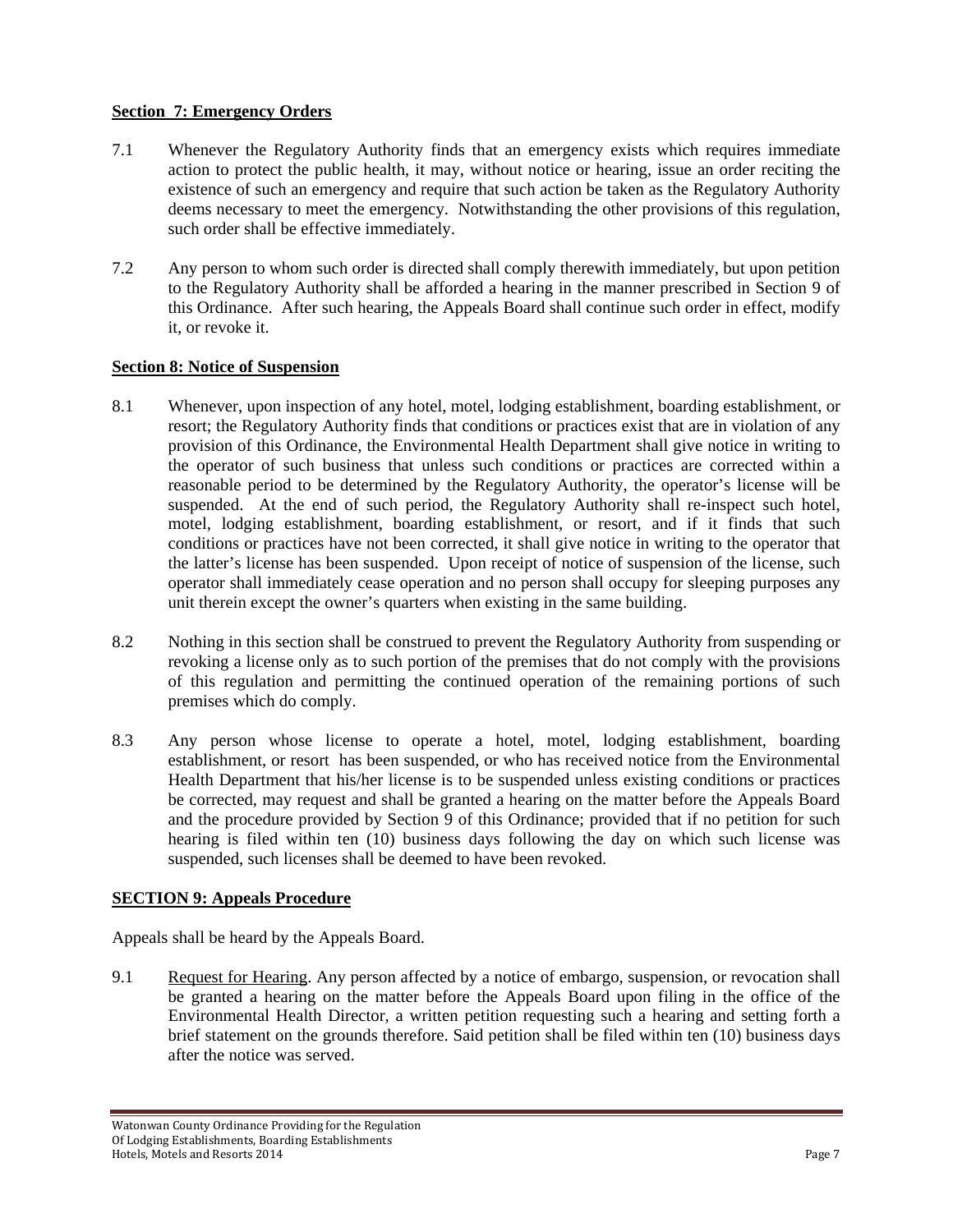# **Section 7: Emergency Orders**

- 7.1 Whenever the Regulatory Authority finds that an emergency exists which requires immediate action to protect the public health, it may, without notice or hearing, issue an order reciting the existence of such an emergency and require that such action be taken as the Regulatory Authority deems necessary to meet the emergency. Notwithstanding the other provisions of this regulation, such order shall be effective immediately.
- 7.2 Any person to whom such order is directed shall comply therewith immediately, but upon petition to the Regulatory Authority shall be afforded a hearing in the manner prescribed in Section 9 of this Ordinance. After such hearing, the Appeals Board shall continue such order in effect, modify it, or revoke it.

#### **Section 8: Notice of Suspension**

- 8.1 Whenever, upon inspection of any hotel, motel, lodging establishment, boarding establishment, or resort; the Regulatory Authority finds that conditions or practices exist that are in violation of any provision of this Ordinance, the Environmental Health Department shall give notice in writing to the operator of such business that unless such conditions or practices are corrected within a reasonable period to be determined by the Regulatory Authority, the operator's license will be suspended. At the end of such period, the Regulatory Authority shall re-inspect such hotel, motel, lodging establishment, boarding establishment, or resort, and if it finds that such conditions or practices have not been corrected, it shall give notice in writing to the operator that the latter's license has been suspended. Upon receipt of notice of suspension of the license, such operator shall immediately cease operation and no person shall occupy for sleeping purposes any unit therein except the owner's quarters when existing in the same building.
- 8.2 Nothing in this section shall be construed to prevent the Regulatory Authority from suspending or revoking a license only as to such portion of the premises that do not comply with the provisions of this regulation and permitting the continued operation of the remaining portions of such premises which do comply.
- 8.3 Any person whose license to operate a hotel, motel, lodging establishment, boarding establishment, or resort has been suspended, or who has received notice from the Environmental Health Department that his/her license is to be suspended unless existing conditions or practices be corrected, may request and shall be granted a hearing on the matter before the Appeals Board and the procedure provided by Section 9 of this Ordinance; provided that if no petition for such hearing is filed within ten (10) business days following the day on which such license was suspended, such licenses shall be deemed to have been revoked.

# **SECTION 9: Appeals Procedure**

Appeals shall be heard by the Appeals Board.

9.1 Request for Hearing. Any person affected by a notice of embargo, suspension, or revocation shall be granted a hearing on the matter before the Appeals Board upon filing in the office of the Environmental Health Director, a written petition requesting such a hearing and setting forth a brief statement on the grounds therefore. Said petition shall be filed within ten (10) business days after the notice was served.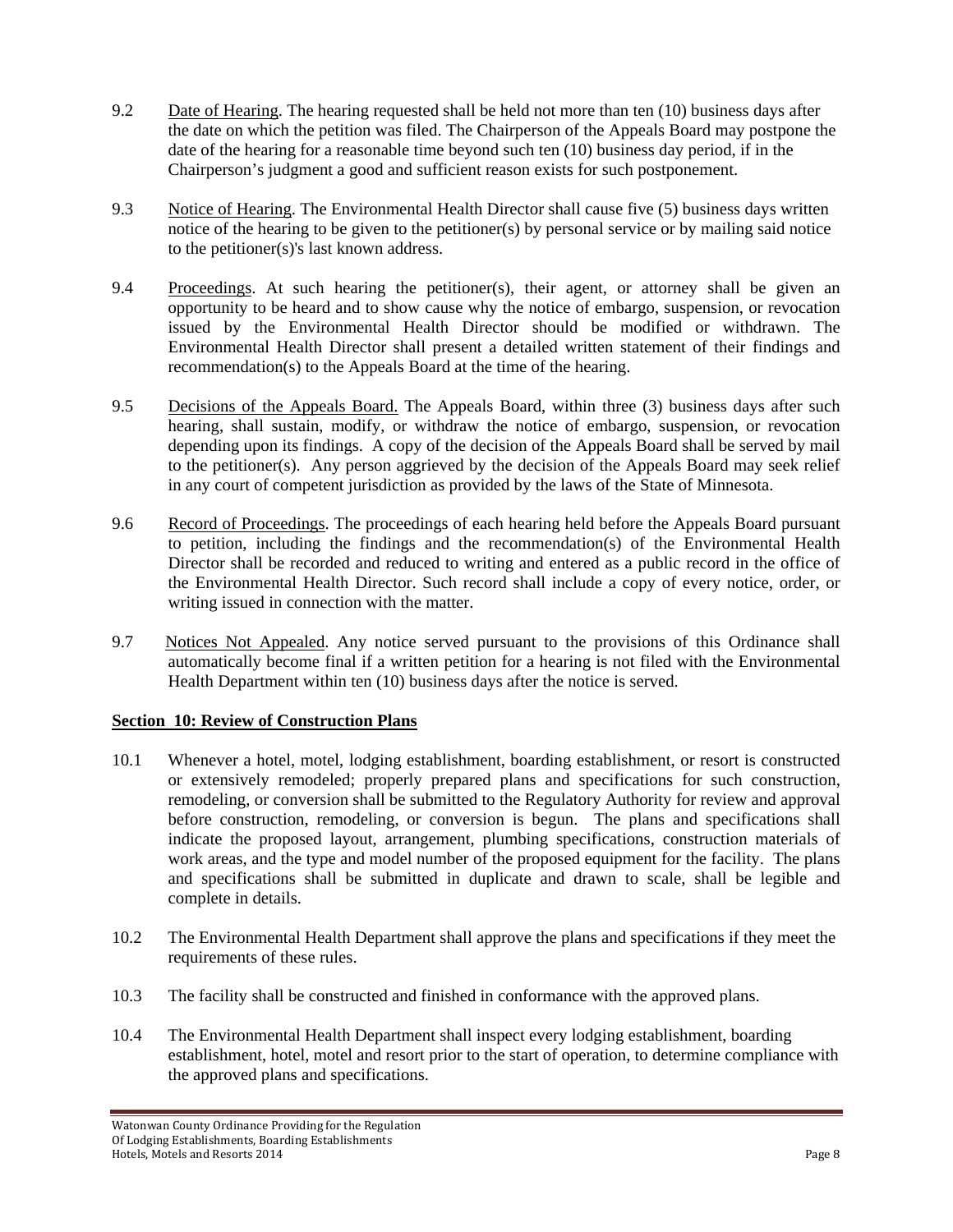- 9.2 Date of Hearing. The hearing requested shall be held not more than ten (10) business days after the date on which the petition was filed. The Chairperson of the Appeals Board may postpone the date of the hearing for a reasonable time beyond such ten (10) business day period, if in the Chairperson's judgment a good and sufficient reason exists for such postponement.
- 9.3 Notice of Hearing. The Environmental Health Director shall cause five (5) business days written notice of the hearing to be given to the petitioner(s) by personal service or by mailing said notice to the petitioner(s)'s last known address.
- 9.4 Proceedings. At such hearing the petitioner(s), their agent, or attorney shall be given an opportunity to be heard and to show cause why the notice of embargo, suspension, or revocation issued by the Environmental Health Director should be modified or withdrawn. The Environmental Health Director shall present a detailed written statement of their findings and recommendation(s) to the Appeals Board at the time of the hearing.
- 9.5 Decisions of the Appeals Board. The Appeals Board, within three (3) business days after such hearing, shall sustain, modify, or withdraw the notice of embargo, suspension, or revocation depending upon its findings. A copy of the decision of the Appeals Board shall be served by mail to the petitioner(s). Any person aggrieved by the decision of the Appeals Board may seek relief in any court of competent jurisdiction as provided by the laws of the State of Minnesota.
- 9.6 Record of Proceedings. The proceedings of each hearing held before the Appeals Board pursuant to petition, including the findings and the recommendation(s) of the Environmental Health Director shall be recorded and reduced to writing and entered as a public record in the office of the Environmental Health Director. Such record shall include a copy of every notice, order, or writing issued in connection with the matter.
- 9.7 Notices Not Appealed. Any notice served pursuant to the provisions of this Ordinance shall automatically become final if a written petition for a hearing is not filed with the Environmental Health Department within ten (10) business days after the notice is served.

# **Section 10: Review of Construction Plans**

- 10.1 Whenever a hotel, motel, lodging establishment, boarding establishment, or resort is constructed or extensively remodeled; properly prepared plans and specifications for such construction, remodeling, or conversion shall be submitted to the Regulatory Authority for review and approval before construction, remodeling, or conversion is begun. The plans and specifications shall indicate the proposed layout, arrangement, plumbing specifications, construction materials of work areas, and the type and model number of the proposed equipment for the facility. The plans and specifications shall be submitted in duplicate and drawn to scale, shall be legible and complete in details.
- 10.2 The Environmental Health Department shall approve the plans and specifications if they meet the requirements of these rules.
- 10.3 The facility shall be constructed and finished in conformance with the approved plans.
- 10.4 The Environmental Health Department shall inspect every lodging establishment, boarding establishment, hotel, motel and resort prior to the start of operation, to determine compliance with the approved plans and specifications.